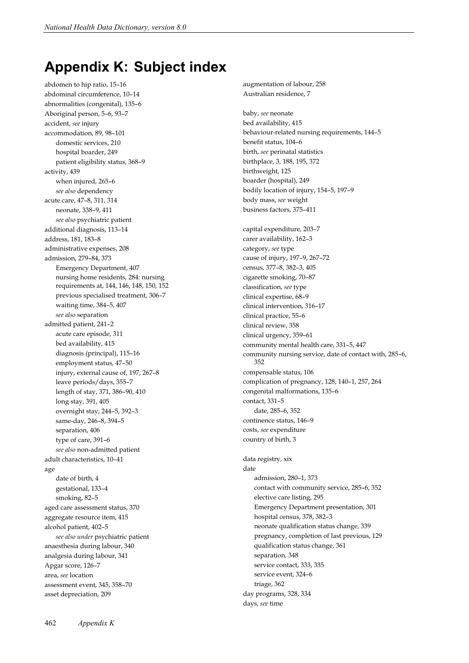## **Appendix K: Subject index**

abdomen to hip ratio, 15–16 abdominal circumference, 10–14 abnormalities (congenital), 135–6 Aboriginal person, 5–6, 93–7 accident, *see* injury accommodation, 89, 98–101 domestic services, 210 hospital boarder, 249 patient eligibility status, 368–9 activity, 439 when injured, 265–6 *see also* dependency acute care, 47–8, 311, 314 neonate, 338–9, 411 *see also* psychiatric patient additional diagnosis, 113–14 address, 181, 183–8 administrative expenses, 208 admission, 279–84, 373 Emergency Department, 407 nursing home residents, 284: nursing requirements at, 144, 146, 148, 150, 152 previous specialised treatment, 306–7 waiting time, 384–5, 407 *see also* separation admitted patient, 241–2 acute care episode, 311 bed availability, 415 diagnosis (principal), 115–16 employment status, 47–50 injury, external cause of, 197, 267–8 leave periods/days, 355–7 length of stay, 371, 386–90, 410 long stay, 391, 405 overnight stay, 244–5, 392–3 same-day, 246–8, 394–5 separation, 406 type of care, 391–6 *see also* non-admitted patient adult characteristics, 10–41 age date of birth, 4 gestational, 133–4 smoking, 82–5 aged care assessment status, 370 aggregate resource item, 415 alcohol patient, 402–5 *see also under* psychiatric patient anaesthesia during labour, 340 analgesia during labour, 341 Apgar score, 126–7 area, *see* location assessment event, 345, 358–70 asset depreciation, 209

augmentation of labour, 258 Australian residence, 7

baby, *see* neonate bed availability, 415 behaviour-related nursing requirements, 144–5 benefit status, 104–6 birth, *see* perinatal statistics birthplace, 3, 188, 195, 372 birthweight, 125 boarder (hospital), 249 bodily location of injury, 154–5, 197–9 body mass, *see* weight business factors, 375–411

capital expenditure, 203–7 carer availability, 162–3 category, *see* type cause of injury, 197–9, 267–72 census, 377–8, 382–3, 405 cigarette smoking, 70–87 classification, *see* type clinical expertise, 68–9 clinical intervention, 316–17 clinical practice, 55–6 clinical review, 358 clinical urgency, 359–61 community mental health care, 331–5, 447 community nursing service, date of contact with, 285–6, 352 compensable status, 106 complication of pregnancy, 128, 140–1, 257, 264 congenital malformations, 135–6 contact, 331–5 date, 285–6, 352 continence status, 146–9 costs, *see* expenditure country of birth, 3 data registry, xix date admission, 280–1, 373 contact with community service, 285–6, 352 elective care listing, 295 Emergency Department presentation, 301 hospital census, 378, 382–3 neonate qualification status change, 339 pregnancy, completion of last previous, 129 qualification status change, 361 separation, 348 service contact, 333, 335 service event, 324–6 triage, 362 day programs, 328, 334 days, *see* time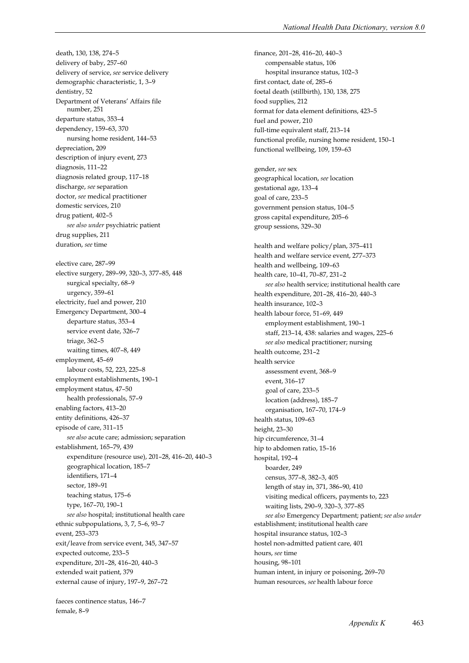death, 130, 138, 274–5 delivery of baby, 257–60 delivery of service, *see* service delivery demographic characteristic, 1, 3–9 dentistry, 52 Department of Veterans' Affairs file number, 251 departure status, 353–4 dependency, 159–63, 370 nursing home resident, 144–53 depreciation, 209 description of injury event, 273 diagnosis, 111–22 diagnosis related group, 117–18 discharge, *see* separation doctor, *see* medical practitioner domestic services, 210 drug patient, 402–5 *see also under* psychiatric patient drug supplies, 211 duration, *see* time elective care, 287–99 elective surgery, 289–99, 320–3, 377–85, 448 surgical specialty, 68–9 urgency, 359–61 electricity, fuel and power, 210 Emergency Department, 300–4 departure status, 353–4 service event date, 326–7 triage, 362–5 waiting times, 407–8, 449 employment, 45–69 labour costs, 52, 223, 225–8 employment establishments, 190–1 employment status, 47–50 health professionals, 57–9 enabling factors, 413–20 entity definitions, 426–37 episode of care, 311–15 *see also* acute care; admission; separation establishment, 165–79, 439 expenditure (resource use), 201–28, 416–20, 440–3 geographical location, 185–7 identifiers, 171–4 sector, 189–91 teaching status, 175–6 type, 167–70, 190–1 *see also* hospital; institutional health care ethnic subpopulations, 3, 7, 5–6, 93–7 event, 253–373 exit/leave from service event, 345, 347–57 expected outcome, 233–5 expenditure, 201–28, 416–20, 440–3 extended wait patient, 379 external cause of injury, 197–9, 267–72

faeces continence status, 146–7 female, 8–9

finance, 201–28, 416–20, 440–3 compensable status, 106 hospital insurance status, 102–3 first contact, date of, 285–6 foetal death (stillbirth), 130, 138, 275 food supplies, 212 format for data element definitions, 423–5 fuel and power, 210 full-time equivalent staff, 213–14 functional profile, nursing home resident, 150–1 functional wellbeing, 109, 159–63 gender, *see* sex geographical location, *see* location gestational age, 133–4 goal of care, 233–5 government pension status, 104–5 gross capital expenditure, 205–6 group sessions, 329–30 health and welfare policy/plan, 375–411 health and welfare service event, 277–373 health and wellbeing, 109–63 health care, 10–41, 70–87, 231–2 *see also* health service; institutional health care health expenditure, 201–28, 416–20, 440–3 health insurance, 102–3 health labour force, 51–69, 449 employment establishment, 190–1 staff, 213–14, 438: salaries and wages, 225–6 *see also* medical practitioner; nursing health outcome, 231–2 health service assessment event, 368–9 event, 316–17 goal of care, 233–5 location (address), 185–7 organisation, 167–70, 174–9 health status, 109–63 height, 23–30 hip circumference, 31–4 hip to abdomen ratio, 15–16 hospital, 192–4 boarder, 249 census, 377–8, 382–3, 405 length of stay in, 371, 386–90, 410 visiting medical officers, payments to, 223 waiting lists, 290–9, 320–3, 377–85 *see also* Emergency Department; patient; *see also under* establishment; institutional health care hospital insurance status, 102–3 hostel non-admitted patient care, 401 hours, *see* time housing, 98–101 human intent, in injury or poisoning, 269–70 human resources, *see* health labour force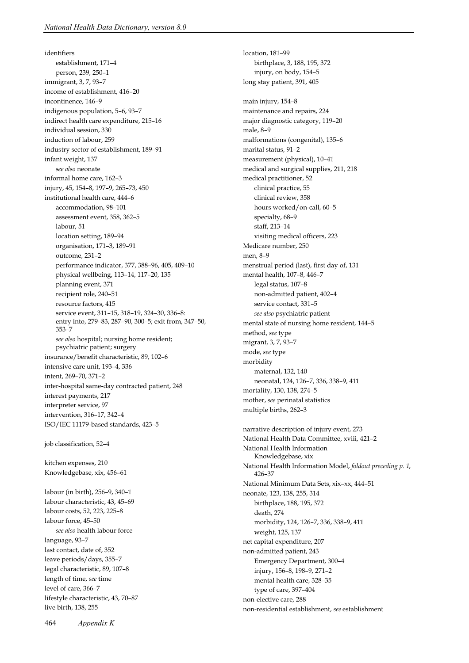identifiers establishment, 171–4 person, 239, 250–1 immigrant, 3, 7, 93–7 income of establishment, 416–20 incontinence, 146–9 indigenous population, 5–6, 93–7 indirect health care expenditure, 215–16 individual session, 330 induction of labour, 259 industry sector of establishment, 189–91 infant weight, 137 *see also* neonate informal home care, 162–3 injury, 45, 154–8, 197–9, 265–73, 450 institutional health care, 444–6 accommodation, 98–101 assessment event, 358, 362–5 labour, 51 location setting, 189–94 organisation, 171–3, 189–91 outcome, 231–2 performance indicator, 377, 388–96, 405, 409–10 physical wellbeing, 113–14, 117–20, 135 planning event, 371 recipient role, 240–51 resource factors, 415 service event, 311–15, 318–19, 324–30, 336–8: entry into, 279–83, 287–90, 300–5; exit from, 347–50, 353–7 *see also* hospital; nursing home resident; psychiatric patient; surgery insurance/benefit characteristic, 89, 102–6 intensive care unit, 193–4, 336 intent, 269–70, 371–2 inter-hospital same-day contracted patient, 248 interest payments, 217 interpreter service, 97 intervention, 316–17, 342–4 ISO/IEC 11179-based standards, 423–5

job classification, 52–4

kitchen expenses, 210 Knowledgebase, xix, 456–61

labour (in birth), 256–9, 340–1 labour characteristic, 43, 45–69 labour costs, 52, 223, 225–8 labour force, 45–50 *see also* health labour force language, 93–7 last contact, date of, 352 leave periods/days, 355–7 legal characteristic, 89, 107–8 length of time, *see* time level of care, 366–7 lifestyle characteristic, 43, 70–87 live birth, 138, 255

location, 181–99 birthplace, 3, 188, 195, 372 injury, on body, 154–5 long stay patient, 391, 405 main injury, 154–8 maintenance and repairs, 224 major diagnostic category, 119–20 male, 8–9 malformations (congenital), 135–6 marital status, 91–2 measurement (physical), 10–41 medical and surgical supplies, 211, 218 medical practitioner, 52 clinical practice, 55 clinical review, 358 hours worked/on-call, 60–5 specialty, 68–9 staff, 213–14 visiting medical officers, 223 Medicare number, 250 men, 8–9 menstrual period (last), first day of, 131 mental health, 107–8, 446–7 legal status, 107–8 non-admitted patient, 402–4 service contact, 331–5 *see also* psychiatric patient mental state of nursing home resident, 144–5 method, *see* type migrant, 3, 7, 93–7 mode, *see* type morbidity maternal, 132, 140 neonatal, 124, 126–7, 336, 338–9, 411 mortality, 130, 138, 274–5 mother, *see* perinatal statistics multiple births, 262–3 narrative description of injury event, 273 National Health Data Committee, xviii, 421–2 National Health Information Knowledgebase, xix National Health Information Model, *foldout preceding p. 1*, 426–37 National Minimum Data Sets, xix–xx, 444–51 neonate, 123, 138, 255, 314 birthplace, 188, 195, 372 death, 274 morbidity, 124, 126–7, 336, 338–9, 411 weight, 125, 137 net capital expenditure, 207 non-admitted patient, 243 Emergency Department, 300–4 injury, 156–8, 198–9, 271–2

type of care, 397–404 non-elective care, 288 non-residential establishment, *see* establishment

mental health care, 328–35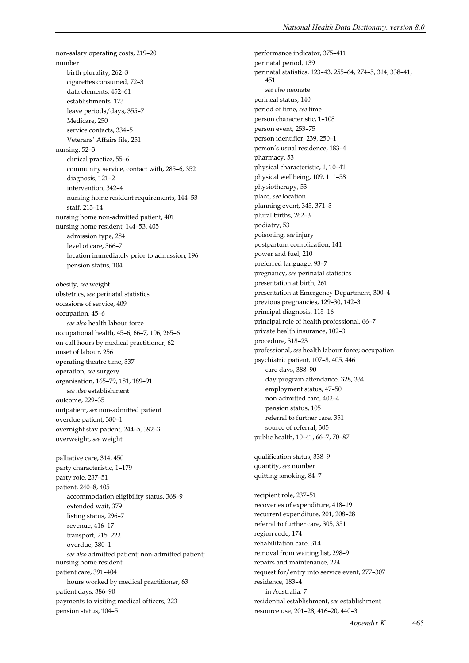non-salary operating costs, 219–20 number birth plurality, 262–3 cigarettes consumed, 72–3 data elements, 452–61 establishments, 173 leave periods/days, 355–7 Medicare, 250 service contacts, 334–5 Veterans' Affairs file, 251 nursing, 52–3 clinical practice, 55–6 community service, contact with, 285–6, 352 diagnosis, 121–2 intervention, 342–4 nursing home resident requirements, 144–53 staff, 213–14 nursing home non-admitted patient, 401 nursing home resident, 144–53, 405 admission type, 284 level of care, 366–7 location immediately prior to admission, 196 pension status, 104 obesity, *see* weight obstetrics, *see* perinatal statistics occasions of service, 409 occupation, 45–6 *see also* health labour force occupational health, 45–6, 66–7, 106, 265–6 on-call hours by medical practitioner, 62 onset of labour, 256 operating theatre time, 337 operation, *see* surgery organisation, 165–79, 181, 189–91 *see also* establishment outcome, 229–35 outpatient, *see* non-admitted patient overdue patient, 380–1 overnight stay patient, 244–5, 392–3 overweight, *see* weight palliative care, 314, 450 party characteristic, 1–179 party role, 237–51 patient, 240–8, 405 accommodation eligibility status, 368–9 extended wait, 379 listing status, 296–7 revenue, 416–17 transport, 215, 222 overdue, 380–1 *see also* admitted patient; non-admitted patient; nursing home resident patient care, 391–404 hours worked by medical practitioner, 63 patient days, 386–90 payments to visiting medical officers, 223 pension status, 104–5

performance indicator, 375–411 perinatal period, 139 perinatal statistics, 123–43, 255–64, 274–5, 314, 338–41, 451 *see also* neonate perineal status, 140 period of time, *see* time person characteristic, 1–108 person event, 253–75 person identifier, 239, 250–1 person's usual residence, 183–4 pharmacy, 53 physical characteristic, 1, 10–41 physical wellbeing, 109, 111–58 physiotherapy, 53 place, *see* location planning event, 345, 371–3 plural births, 262–3 podiatry, 53 poisoning, *see* injury postpartum complication, 141 power and fuel, 210 preferred language, 93–7 pregnancy, *see* perinatal statistics presentation at birth, 261 presentation at Emergency Department, 300–4 previous pregnancies, 129–30, 142–3 principal diagnosis, 115–16 principal role of health professional, 66–7 private health insurance, 102–3 procedure, 318–23 professional, *see* health labour force; occupation psychiatric patient, 107–8, 405, 446 care days, 388–90 day program attendance, 328, 334 employment status, 47–50 non-admitted care, 402–4 pension status, 105 referral to further care, 351 source of referral, 305 public health, 10–41, 66–7, 70–87 qualification status, 338–9 quantity, *see* number quitting smoking, 84–7 recipient role, 237–51 recoveries of expenditure, 418–19 recurrent expenditure, 201, 208–28 referral to further care, 305, 351 region code, 174 rehabilitation care, 314 removal from waiting list, 298–9 repairs and maintenance, 224 request for/entry into service event, 277–307 residence, 183–4

in Australia, 7 residential establishment, *see* establishment resource use, 201–28, 416–20, 440–3